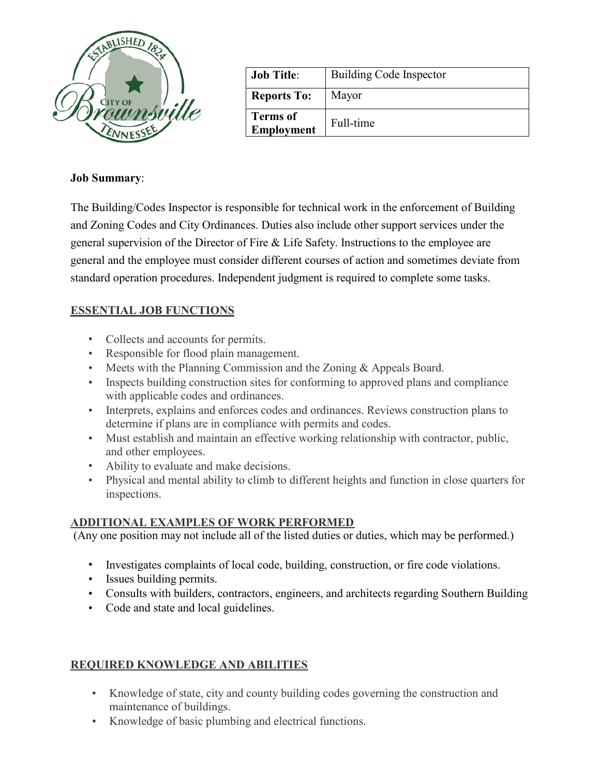

| <b>Job Title:</b>             | <b>Building Code Inspector</b> |
|-------------------------------|--------------------------------|
| <b>Reports To:</b>            | Mayor                          |
| <b>Terms of</b><br>Employment | Full-time                      |

#### **Job Summary**:

The Building/Codes Inspector is responsible for technical work in the enforcement of Building and Zoning Codes and City Ordinances. Duties also include other support services under the general supervision of the Director of Fire & Life Safety. Instructions to the employee are general and the employee must consider different courses of action and sometimes deviate from standard operation procedures. Independent judgment is required to complete some tasks.

### **ESSENTIAL JOB FUNCTIONS**

- Collects and accounts for permits.
- Responsible for flood plain management.
- Meets with the Planning Commission and the Zoning & Appeals Board.
- Inspects building construction sites for conforming to approved plans and compliance with applicable codes and ordinances.
- Interprets, explains and enforces codes and ordinances. Reviews construction plans to determine if plans are in compliance with permits and codes.
- Must establish and maintain an effective working relationship with contractor, public, and other employees.
- Ability to evaluate and make decisions.
- Physical and mental ability to climb to different heights and function in close quarters for inspections.

### **ADDITIONAL EXAMPLES OF WORK PERFORMED**

(Any one position may not include all of the listed duties or duties, which may be performed.)

- Investigates complaints of local code, building, construction, or fire code violations.
- Issues building permits.
- Consults with builders, contractors, engineers, and architects regarding Southern Building
- Code and state and local guidelines.

# **REQUIRED KNOWLEDGE AND ABILITIES**

- Knowledge of state, city and county building codes governing the construction and maintenance of buildings.
- Knowledge of basic plumbing and electrical functions.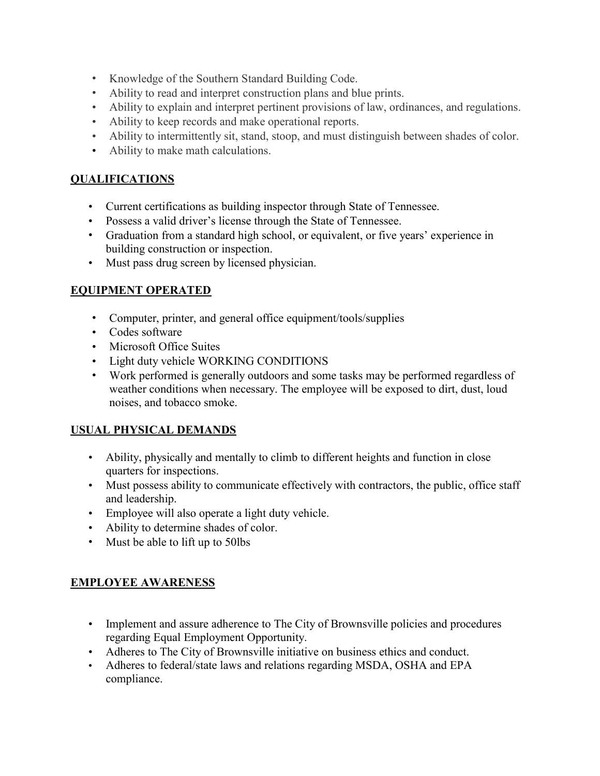- Knowledge of the Southern Standard Building Code.
- Ability to read and interpret construction plans and blue prints.
- Ability to explain and interpret pertinent provisions of law, ordinances, and regulations.
- Ability to keep records and make operational reports.
- Ability to intermittently sit, stand, stoop, and must distinguish between shades of color.
- Ability to make math calculations.

### **QUALIFICATIONS**

- Current certifications as building inspector through State of Tennessee.
- Possess a valid driver's license through the State of Tennessee.
- Graduation from a standard high school, or equivalent, or five years' experience in building construction or inspection.
- Must pass drug screen by licensed physician.

# **EQUIPMENT OPERATED**

- Computer, printer, and general office equipment/tools/supplies
- Codes software
- Microsoft Office Suites
- Light duty vehicle WORKING CONDITIONS
- Work performed is generally outdoors and some tasks may be performed regardless of weather conditions when necessary. The employee will be exposed to dirt, dust, loud noises, and tobacco smoke.

# **USUAL PHYSICAL DEMANDS**

- Ability, physically and mentally to climb to different heights and function in close quarters for inspections.
- Must possess ability to communicate effectively with contractors, the public, office staff and leadership.
- Employee will also operate a light duty vehicle.
- Ability to determine shades of color.
- Must be able to lift up to 50lbs

### **EMPLOYEE AWARENESS**

- Implement and assure adherence to The City of Brownsville policies and procedures regarding Equal Employment Opportunity.
- Adheres to The City of Brownsville initiative on business ethics and conduct.
- Adheres to federal/state laws and relations regarding MSDA, OSHA and EPA compliance.